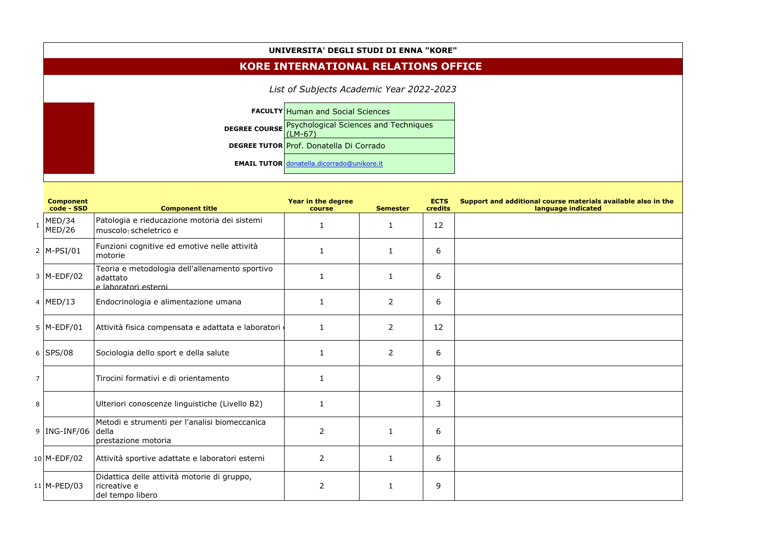## **UNIVERSITA' DEGLI STUDI DI ENNA "KORE"**

| List of Subjects Academic Year 2022-2023 |                                                            |  |  |  |  |  |  |  |
|------------------------------------------|------------------------------------------------------------|--|--|--|--|--|--|--|
|                                          | <b>FACULTY Human and Social Sciences</b>                   |  |  |  |  |  |  |  |
|                                          | <b>DEGREE COURSE Psychological Sciences and Techniques</b> |  |  |  |  |  |  |  |
|                                          | DEGREE TUTOR Prof. Donatella Di Corrado                    |  |  |  |  |  |  |  |
|                                          | <b>EMAIL TUTOR donatella.dicorrado@unikore.it</b>          |  |  |  |  |  |  |  |

## **KORE INTERNATIONAL RELATIONS OFFICE**

|                | <b>Component</b><br>code - SSD | <b>Component title</b>                                                             | Year in the degree<br>course | <b>Semester</b> | <b>ECTS</b><br>credits | Support and additional course materials available also in the<br>language indicated |
|----------------|--------------------------------|------------------------------------------------------------------------------------|------------------------------|-----------------|------------------------|-------------------------------------------------------------------------------------|
|                | $_1$  MED/34<br>MED/26         | Patologia e rieducazione motoria dei sistemi<br>muscolo scheletrico e              | 1                            | $\mathbf{1}$    | 12                     |                                                                                     |
|                | $2$  M-PSI/01                  | Funzioni cognitive ed emotive nelle attività<br>motorie                            | $\mathbf{1}$                 | $\mathbf{1}$    | 6                      |                                                                                     |
|                | $3$  M-EDF/02                  | Teoria e metodologia dell'allenamento sportivo<br>adattato<br>e laboratori esterni | $\mathbf{1}$                 | $\mathbf{1}$    | 6                      |                                                                                     |
|                | 4   MED/13                     | Endocrinologia e alimentazione umana                                               | 1                            | 2               | 6                      |                                                                                     |
|                | $5$  M-EDF/01                  | Attività fisica compensata e adattata e laboratori e                               | $\mathbf{1}$                 | $\overline{2}$  | 12                     |                                                                                     |
|                | $6$ SPS/08                     | Sociologia dello sport e della salute                                              | $\mathbf{1}$                 | $\overline{2}$  | 6                      |                                                                                     |
| $\overline{7}$ |                                | Tirocini formativi e di orientamento                                               | $\mathbf{1}$                 |                 | 9                      |                                                                                     |
| 8              |                                | Ulteriori conoscenze linguistiche (Livello B2)                                     | $\mathbf{1}$                 |                 | 3                      |                                                                                     |
|                | $9$  ING-INF/06                | Metodi e strumenti per l'analisi biomeccanica<br>della<br>prestazione motoria      | $\overline{2}$               | $\mathbf{1}$    | 6                      |                                                                                     |
|                | $10$ M-EDF/02                  | Attività sportive adattate e laboratori esterni                                    | $\overline{2}$               | $\mathbf{1}$    | 6                      |                                                                                     |
|                | $11$ M-PED/03                  | Didattica delle attività motorie di gruppo,<br>ricreative e<br>del tempo libero    | $\overline{2}$               | $\mathbf{1}$    | 9                      |                                                                                     |